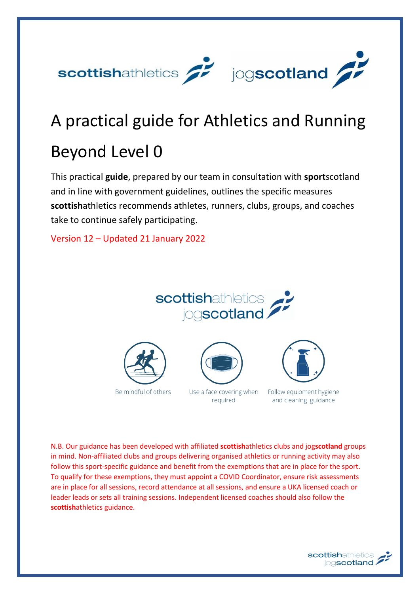

# A practical guide for Athletics and Running Beyond Level 0

This practical **guide**, prepared by our team in consultation with **sport**scotland and in line with government guidelines, outlines the specific measures **scottish**athletics recommends athletes, runners, clubs, groups, and coaches take to continue safely participating.

Version 12 – Updated 21 January 2022











Follow equipment hygiene and cleaning guidance

N.B. Our guidance has been developed with affiliated **scottish**athletics clubs and jog**scotland** groups in mind. Non-affiliated clubs and groups delivering organised athletics or running activity may also follow this sport-specific guidance and benefit from the exemptions that are in place for the sport. To qualify for these exemptions, they must appoint a COVID Coordinator, ensure risk assessments are in place for all sessions, record attendance at all sessions, and ensure a UKA licensed coach or leader leads or sets all training sessions. Independent licensed coaches should also follow the **scottish**athletics guidance.

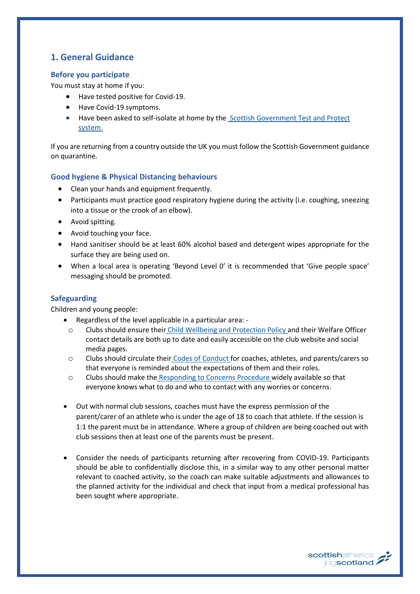# **1. General Guidance**

## **Before you participate**

You must stay at home if you:

- Have tested positive for Covid-19.
- Have Covid-19 symptoms.
- Have been asked to self-isolate at home by the [Scottish Government Test and Protect](https://www.gov.scot/collections/coronavirus-covid-19-guidance/#testandprotect%3Agettingtestedandself-isolating)  [system.](https://www.gov.scot/collections/coronavirus-covid-19-guidance/#testandprotect%3Agettingtestedandself-isolating)

If you are returning from a country outside the UK you must follow the Scottish Government guidance on quarantine.

## **Good hygiene & Physical Distancing behaviours**

- Clean your hands and equipment frequently.
- Participants must practice good respiratory hygiene during the activity (i.e. coughing, sneezing into a tissue or the crook of an elbow).
- Avoid spitting.
- Avoid touching your face.
- Hand sanitiser should be at least 60% alcohol based and detergent wipes appropriate for the surface they are being used on.
- When a local area is operating 'Beyond Level 0' it is recommended that 'Give people space' messaging should be promoted.

## **Safeguarding**

Children and young people:

- Regardless of the level applicable in a particular area:
	- o Clubs should ensure their [Child Wellbeing and Protection Policy](https://www.scottishathletics.org.uk/wp-content/uploads/2014/04/Scottish-Athletics-Ltd-Child-Protection-Policy.pdf) and their Welfare Officer contact details are both up to date and easily accessible on the club website and social media pages.
	- o Clubs should circulate their [Codes of Conduct](https://www.scottishathletics.org.uk/wp-content/uploads/2014/04/Scottish-Athletics-Codes-of-Conduct-Booklet.pdf) for coaches, athletes, and parents/carers so that everyone is reminded about the expectations of them and their roles.
	- o Clubs should make the [Responding to Concerns Procedure](https://www.scottishathletics.org.uk/wp-content/uploads/2014/04/e.-Procedures-for-responding-to-a-concern-about-a-child.docx) widely available so that everyone knows what to do and who to contact with any worries or concerns.
- Out with normal club sessions, coaches must have the express permission of the parent/carer of an athlete who is under the age of 18 to coach that athlete. If the session is 1:1 the parent must be in attendance. Where a group of children are being coached out with club sessions then at least one of the parents must be present.
- Consider the needs of participants returning after recovering from COVID-19. Participants should be able to confidentially disclose this, in a similar way to any other personal matter relevant to coached activity, so the coach can make suitable adjustments and allowances to the planned activity for the individual and check that input from a medical professional has been sought where appropriate.

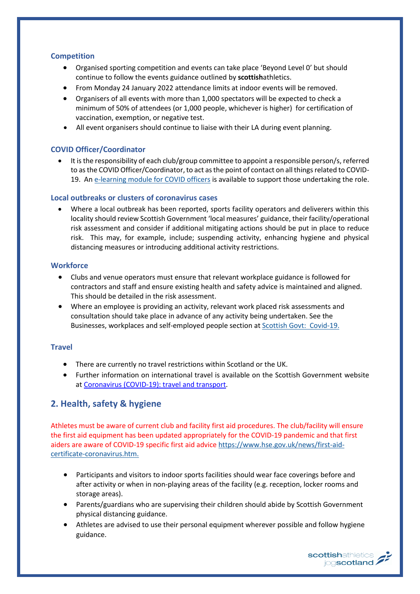## **Competition**

- Organised sporting competition and events can take place 'Beyond Level 0' but should continue to follow the events guidance outlined by **scottish**athletics.
- From Monday 24 January 2022 attendance limits at indoor events will be removed.
- Organisers of all events with more than 1,000 spectators will be expected to check a minimum of 50% of attendees (or 1,000 people, whichever is higher) for certification of vaccination, exemption, or negative test.
- All event organisers should continue to liaise with their LA during event planning.

## **COVID Officer/Coordinator**

• It is the responsibility of each club/group committee to appoint a responsible person/s, referred to as the COVID Officer/Coordinator, to act as the point of contact on all things related to COVID-19. An [e-learning module for COVID officers](https://rise.articulate.com/share/LlEWUj-o23H_4gC1AF002jdxdrCucQC0#/) is available to support those undertaking the role.

## **Local outbreaks or clusters of coronavirus cases**

• Where a local outbreak has been reported, sports facility operators and deliverers within this locality should review Scottish Government 'local measures' guidance, their facility/operational risk assessment and consider if additional mitigating actions should be put in place to reduce risk. This may, for example, include; suspending activity, enhancing hygiene and physical distancing measures or introducing additional activity restrictions.

## **Workforce**

- Clubs and venue operators must ensure that relevant workplace guidance is followed for contractors and staff and ensure existing health and safety advice is maintained and aligned. This should be detailed in the risk assessment.
- Where an employee is providing an activity, relevant work placed risk assessments and consultation should take place in advance of any activity being undertaken. See the Businesses, workplaces and self-employed people section a[t Scottish Govt: Covid-19.](http://www.gov.scot/coronavirus-covid-19/)

## **Travel**

- There are currently no travel restrictions within Scotland or the UK.
- Further information on international travel is available on the Scottish Government website at [Coronavirus \(COVID-19\): travel and transport.](https://www.gov.scot/publications/coronavirus-covid-19-guidance-on-travel-and-transport/)

# **2. Health, safety & hygiene**

Athletes must be aware of current club and facility first aid procedures. The club/facility will ensure the first aid equipment has been updated appropriately for the COVID-19 pandemic and that first aiders are aware of COVID-19 specific first aid advic[e https://www.hse.gov.uk/news/first-aid](https://www.hse.gov.uk/news/first-aid-certificate-coronavirus.htm)[certificate-coronavirus.htm.](https://www.hse.gov.uk/news/first-aid-certificate-coronavirus.htm)

- Participants and visitors to indoor sports facilities should wear face coverings before and after activity or when in non-playing areas of the facility (e.g. reception, locker rooms and storage areas).
- Parents/guardians who are supervising their children should abide by Scottish Government physical distancing guidance.
- Athletes are advised to use their personal equipment wherever possible and follow hygiene guidance.

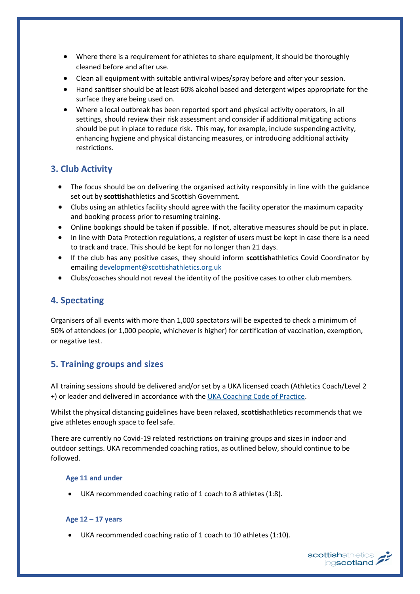- Where there is a requirement for athletes to share equipment, it should be thoroughly cleaned before and after use.
- Clean all equipment with suitable antiviral wipes/spray before and after your session.
- Hand sanitiser should be at least 60% alcohol based and detergent wipes appropriate for the surface they are being used on.
- Where a local outbreak has been reported sport and physical activity operators, in all settings, should review their risk assessment and consider if additional mitigating actions should be put in place to reduce risk. This may, for example, include suspending activity, enhancing hygiene and physical distancing measures, or introducing additional activity restrictions.

# **3. Club Activity**

- The focus should be on delivering the organised activity responsibly in line with the guidance set out by **scottish**athletics and Scottish Government.
- Clubs using an athletics facility should agree with the facility operator the maximum capacity and booking process prior to resuming training.
- Online bookings should be taken if possible. If not, alterative measures should be put in place.
- In line with Data Protection regulations, a register of users must be kept in case there is a need to track and trace. This should be kept for no longer than 21 days.
- If the club has any positive cases, they should inform **scottish**athletics Covid Coordinator by emailing [development@scottishathletics.org.uk](mailto:development@scottishathletics.org.uk)
- Clubs/coaches should not reveal the identity of the positive cases to other club members.

# **4. Spectating**

Organisers of all events with more than 1,000 spectators will be expected to check a minimum of 50% of attendees (or 1,000 people, whichever is higher) for certification of vaccination, exemption, or negative test.

# **5. Training groups and sizes**

All training sessions should be delivered and/or set by a UKA licensed coach (Athletics Coach/Level 2 +) or leader and delivered in accordance with the UKA [Coaching Code of Practice.](https://www.uka.org.uk/grassroots/coach-education/already-qualified/)

Whilst the physical distancing guidelines have been relaxed, **scottish**athletics recommends that we give athletes enough space to feel safe.

There are currently no Covid-19 related restrictions on training groups and sizes in indoor and outdoor settings. UKA recommended coaching ratios, as outlined below, should continue to be followed.

## **Age 11 and under**

• UKA recommended coaching ratio of 1 coach to 8 athletes (1:8).

## **Age 12 – 17 years**

UKA recommended coaching ratio of 1 coach to 10 athletes (1:10).

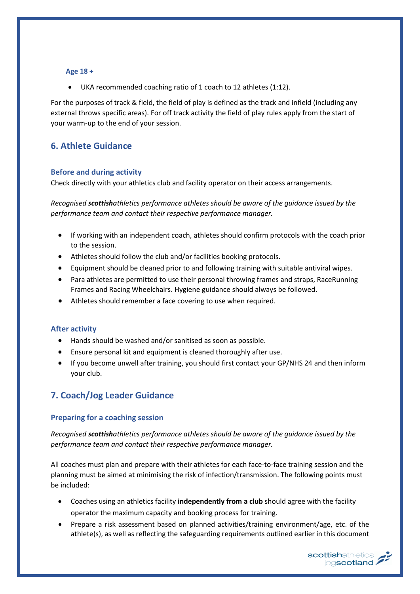#### **Age 18 +**

UKA recommended coaching ratio of 1 coach to 12 athletes (1:12).

For the purposes of track & field, the field of play is defined as the track and infield (including any external throws specific areas). For off track activity the field of play rules apply from the start of your warm-up to the end of your session.

# **6. Athlete Guidance**

#### **Before and during activity**

Check directly with your athletics club and facility operator on their access arrangements.

*Recognised scottishathletics performance athletes should be aware of the guidance issued by the performance team and contact their respective performance manager.* 

- If working with an independent coach, athletes should confirm protocols with the coach prior to the session.
- Athletes should follow the club and/or facilities booking protocols.
- Equipment should be cleaned prior to and following training with suitable antiviral wipes.
- Para athletes are permitted to use their personal throwing frames and straps, RaceRunning Frames and Racing Wheelchairs. Hygiene guidance should always be followed.
- Athletes should remember a face covering to use when required.

#### **After activity**

- Hands should be washed and/or sanitised as soon as possible.
- Ensure personal kit and equipment is cleaned thoroughly after use.
- If you become unwell after training, you should first contact your GP/NHS 24 and then inform your club.

# **7. Coach/Jog Leader Guidance**

#### **Preparing for a coaching session**

*Recognised scottishathletics performance athletes should be aware of the guidance issued by the performance team and contact their respective performance manager.*

All coaches must plan and prepare with their athletes for each face-to-face training session and the planning must be aimed at minimising the risk of infection/transmission. The following points must be included:

- Coaches using an athletics facility **independently from a club** should agree with the facility operator the maximum capacity and booking process for training.
- Prepare a risk assessment based on planned activities/training environment/age, etc. of the athlete(s), as well as reflecting the safeguarding requirements outlined earlier in this document

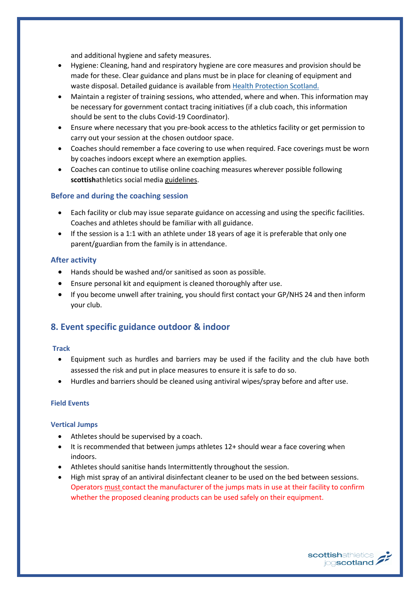and additional hygiene and safety measures.

- Hygiene: Cleaning, hand and respiratory hygiene are core measures and provision should be made for these. Clear guidance and plans must be in place for cleaning of equipment and waste disposal. Detailed guidance is available fro[m Health Protection Scotland.](http://www.hps.scot.nhs.uk/web-resources-container/covid-19-guidance-for-non-healthcare-settings/)
- Maintain a register of training sessions, who attended, where and when. This information may be necessary for government contact tracing initiatives (if a club coach, this information should be sent to the clubs Covid-19 Coordinator).
- Ensure where necessary that you pre-book access to the athletics facility or get permission to carry out your session at the chosen outdoor space.
- Coaches should remember a face covering to use when required. Face coverings must be worn by coaches indoors except where an exemption applies.
- Coaches can continue to utilise online coaching measures wherever possible following **scottish**athletics social media [guidelines.](https://www.scottishathletics.org.uk/clubs/club-support/club-education/social-media-and-digital-guidelines/)

## **Before and during the coaching session**

- Each facility or club may issue separate guidance on accessing and using the specific facilities. Coaches and athletes should be familiar with all guidance.
- If the session is a 1:1 with an athlete under 18 years of age it is preferable that only one parent/guardian from the family is in attendance.

#### **After activity**

- Hands should be washed and/or sanitised as soon as possible.
- Ensure personal kit and equipment is cleaned thoroughly after use.
- If you become unwell after training, you should first contact your GP/NHS 24 and then inform your club.

# **8. Event specific guidance outdoor & indoor**

#### **Track**

- Equipment such as hurdles and barriers may be used if the facility and the club have both assessed the risk and put in place measures to ensure it is safe to do so.
- Hurdles and barriers should be cleaned using antiviral wipes/spray before and after use.

#### **Field Events**

#### **Vertical Jumps**

- Athletes should be supervised by a coach.
- It is recommended that between jumps athletes 12+ should wear a face covering when indoors.
- Athletes should sanitise hands Intermittently throughout the session.
- High mist spray of an antiviral disinfectant cleaner to be used on the bed between sessions. Operators must contact the manufacturer of the jumps mats in use at their facility to confirm whether the proposed cleaning products can be used safely on their equipment.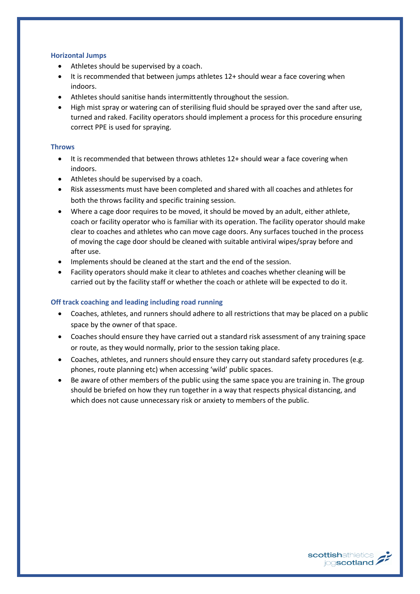#### **Horizontal Jumps**

- Athletes should be supervised by a coach.
- It is recommended that between jumps athletes 12+ should wear a face covering when indoors.
- Athletes should sanitise hands intermittently throughout the session.
- High mist spray or watering can of sterilising fluid should be sprayed over the sand after use, turned and raked. Facility operators should implement a process for this procedure ensuring correct PPE is used for spraying.

## **Throws**

- It is recommended that between throws athletes 12+ should wear a face covering when indoors.
- Athletes should be supervised by a coach.
- Risk assessments must have been completed and shared with all coaches and athletes for both the throws facility and specific training session.
- Where a cage door requires to be moved, it should be moved by an adult, either athlete, coach or facility operator who is familiar with its operation. The facility operator should make clear to coaches and athletes who can move cage doors. Any surfaces touched in the process of moving the cage door should be cleaned with suitable antiviral wipes/spray before and after use.
- Implements should be cleaned at the start and the end of the session.
- Facility operators should make it clear to athletes and coaches whether cleaning will be carried out by the facility staff or whether the coach or athlete will be expected to do it.

## **Off track coaching and leading including road running**

- Coaches, athletes, and runners should adhere to all restrictions that may be placed on a public space by the owner of that space.
- Coaches should ensure they have carried out a standard risk assessment of any training space or route, as they would normally, prior to the session taking place.
- Coaches, athletes, and runners should ensure they carry out standard safety procedures (e.g. phones, route planning etc) when accessing 'wild' public spaces.
- Be aware of other members of the public using the same space you are training in. The group should be briefed on how they run together in a way that respects physical distancing, and which does not cause unnecessary risk or anxiety to members of the public.